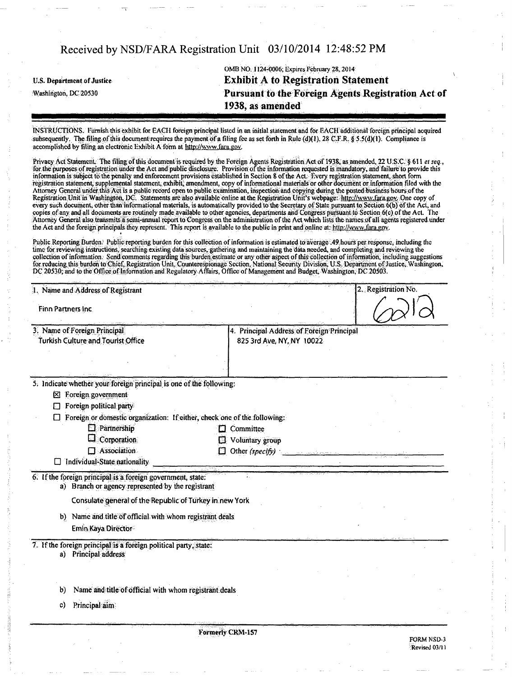U.S. Department of Justice

Washington, DC 20530

OMB NO. 1124-0006; Expires February 28,2014 Exhibit A to Registration Statement Pursuant to the Foreign Agents Registration Act of 1938, as amended

Revised 03/11

INSTKUGTlOStS. Finnish this exhibit for EACH foreign principal listed in an initial statement and for EACH additional foreign principal acquired subsequently. The filing of this document requires the payment of a filing fee as set forth in Rule (d)(1), 28 C.F.R. § 5.5(d)(1). Compliance is accomplished by filing an electronic Exhibit A form at http://www.fara.gov.

Privacy Act Statement. The filing of this document is required by the Foreign Agents Registration Act of 1938, as amended, 22 U.S.C. § 611 et seq., for the purposes of registration under the Act and public disclosure. Provision of the information requested is mandatory, and failure to provide this information is subject to the penalty and enforcement provisions established in Section 8 ofthe Act. Every registration statement, short form registration statement, supplemental statement, exhibit, amendment, copy of informational materials or other document or information filed with the Attorney General under this Act is a public record open to public examination, inspection and copying during the posted business hours ofthe Registration Unit in Washington, DC. Statements are also available online at the Registration Unit's webpage: http://www.fara.gov. One copy of every such document, other than informational materials, is automatically provided to the Secretary of State pursuant to Section 6(b) ofthe Act, and copies of any and all documents are routinely made available to other agencies, departments and Congress pursuant to Section 6(c) ofthe Act. The Attorney General also transmits a semi-annual report to Congress on the administration ofthe Act which lists the names of all agents registered under the Act and the foreign principals they represent. This report is available to the public in print and online at: http://www.fara.gov.

Public Reporting Burden. Public reporting burden for this collection of information is estimated to average .49 hours per response, including the time for reviewing instructions, searching existing data sources, gathering and maintaining the data needed, and completing and reviewing the collection of information. Send comments regarding this burden estimate or any other aspect of this collection ofinformation, including suggestions for reducing this burden to Chief, Registration Unit, Counterespionage Section, National Security Division, U.S. Department of Justice, Washington, DC 20530; and to the Office of Infonnalion and Regulatory Affairs. Office of Management and Budget. Washington, DC 20503.

| 1. Name and Address of Registrant                                                                     |                                                                        | 2. Registration No. |
|-------------------------------------------------------------------------------------------------------|------------------------------------------------------------------------|---------------------|
| Finn Partners Inc.                                                                                    |                                                                        |                     |
| 3. Name of Foreign Principal<br>Turkish Culture and Tourist Office                                    | 4. Principal Address of Foreign Principal<br>825 3rd Ave, NY, NY 10022 |                     |
| 5. Indicate whether your foreign principal is one of the following:<br>$\boxtimes$ Foreign government |                                                                        |                     |
| Foreign political party<br>П                                                                          |                                                                        |                     |
| Foreign or domestic organization: If either, check one of the following:                              |                                                                        |                     |
| $\square$ Partnership<br>Corporation                                                                  | Committee                                                              |                     |
| Association                                                                                           | Voluntary group<br>U.                                                  |                     |
| Individual-State nationality                                                                          | Other (specify)<br>Ð                                                   |                     |
| 6. If the foreign principal is a foreign government, state:                                           |                                                                        |                     |
| a) Branch or agency represented by the registrant                                                     |                                                                        |                     |
| Consulate general of the Republic of Turkey in new York                                               |                                                                        |                     |
| b) Name and title of official with whom registrant deals                                              |                                                                        |                     |
| Emin Kaya Director                                                                                    |                                                                        |                     |
| 7. If the foreign principal is a foreign political party, state:<br>a) Principal address              |                                                                        |                     |
|                                                                                                       |                                                                        |                     |
| Name and title of official with whom registrant deals<br>b)                                           |                                                                        |                     |
| Principal aim<br>C)                                                                                   |                                                                        |                     |
|                                                                                                       | Formerly CRM-157                                                       |                     |
|                                                                                                       |                                                                        | FORM NSD-3          |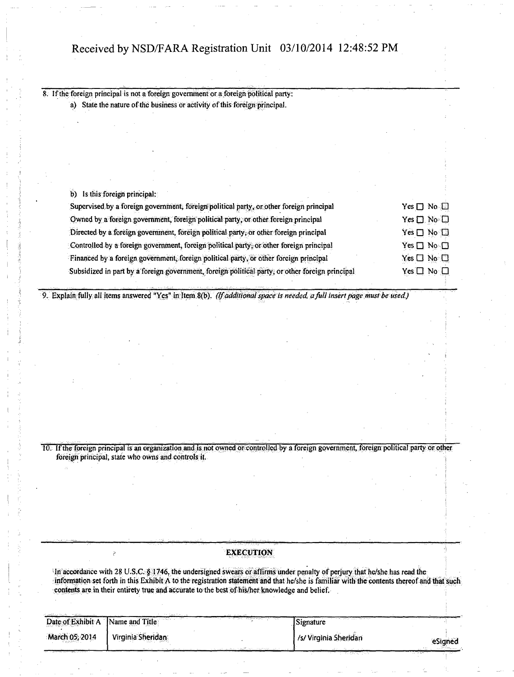| b) | Is this foreign principal:                                                                                                |                            |  |
|----|---------------------------------------------------------------------------------------------------------------------------|----------------------------|--|
|    | Supervised by a foreign government, foreign political party, or other foreign principal                                   | $Yes \Box No \Box$         |  |
|    | Owned by a foreign government, foreign political party, or other foreign principal                                        | Yes $\square$ No $\square$ |  |
|    | Directed by a foreign government, foreign political party, or other foreign principal                                     | $Yes \Box No \Box$         |  |
|    | Controlled by a foreign government, foreign political party, or other foreign principal                                   | $Yes \Box No \Box$         |  |
|    | Financed by a foreign government, foreign political party, or other foreign principal                                     | $Yes \Box No \Box$         |  |
|    | Subsidized in part by a foreign government, foreign political party, or other foreign principal                           | Yes $\square$ No $\square$ |  |
|    | 9. Explain fully all items answered "Yes" in Item 8(b). (If additional space is needed, a full insert page must be used.) |                            |  |

10. If the foreign principal is an organization and is not owned or controlled by a foreign government, foreign political party or other foreign principal, state who owns and controls it.

### **EXECUTION**

In accordance with 28 U.S.C. § 1746, the undersigned swears or affirms under penalty of perjury that he/she has read the information set forth in this Exhibit A to the registration statement and that he/she is familiar with the contents thereof and that such contents are in their entirety true and accurate to the best of his/her knowledge and belief.

|                | Date of Exhibit A Name and Title | The St. St. London who is the control | The second state where they<br>Signature |         |
|----------------|----------------------------------|---------------------------------------|------------------------------------------|---------|
| March 05, 2014 | Virginia Sheridan                |                                       | /s/ Virginia Sheridan                    | eSigned |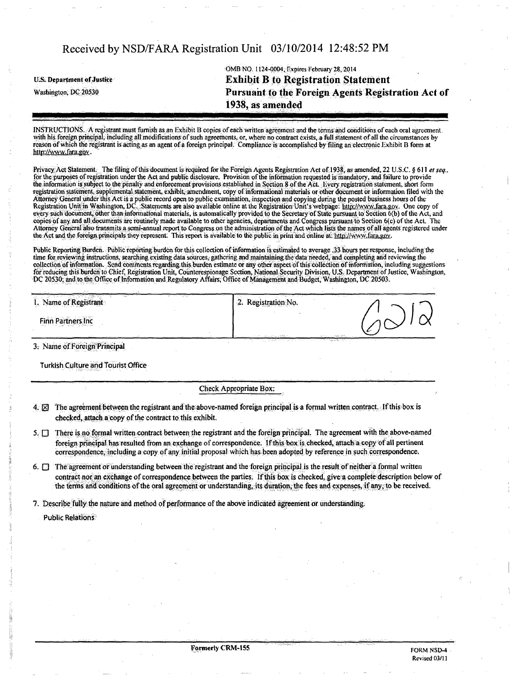OMB NO. 1124-0004, Expires February 28, 2014 U.S. Department of Justice **Exhibit B to Registration Statement** Washington; DC 20530 Pursuant to the Foreign Agents Registration Act of 1938, as amended

INSTRUCTIONS. A registrant must furnish as an Exhibit B copies of each written agreement and the terms and conditions of each oral agreement. with his foreign principal, including all modifications of such agreements, or, where no contract exists, a full statement of all the circumstances by reason of which the registrant is acting as an agent of a foreign principal. Compliance is accomplished by filing an electronic Exhibit B form at http://www.fara.gov.

Privacy Act Statement. The filing of this document is required for the Foreign Agents Registration Act of 1938, as amended, 22 U.S.C. § 611 et seq., for the purposes of registration under the Act and public disclosure. Provision ofthe information requested is mandatory, and failure to provide the information is subject to the penalty and enforcement provisions established in Section 8 ofthe Act. livery registration statement, short form registration statement, supplemental statement, exhibit, amendment, copy of informational materials or other document or information filed with the Attorney General under this Act is a public record open to public examination, inspection and copying during the posted business hours of the Registration Unit in Washington. DC. Statements are also available online at the Registration Unit's webpage: http://www.fara.gov. One copy of every such document, other than informational materials, is automatically provided lo the Secretary of State pursuant to Section 6(b) ofthe Act, and copies of any and all documents arc routinely made available to other agencies, departments and Congress pursuant to Section 6(c) ofthe Act. The Attorney General also transmits a semi-annual report to Congress on the administration ofthe Act which lists the names of all agents registered under the Act and the foreign principals they represent. This report is available to the public in print and online at: http://www.fara.gov.

Public Reporting Burden. Public reporting burden for this collection ofinformation is estimated to average .33 hours per response, including the time for reviewing instructions, searching existing data sources, gathering and maintaining the data needed, and completing and reviewing the collection of information. Send comments regarding this burden estimate or any other aspect of this collection of information, including suggestions for reducing this burden to Chief, Registration Unit. Counterespionage Section, National Security Division, U.S. Department of Justice, Washington, DC 20530; and to the Office of Information and Regulatory Affairs, Office of Management and Budget, Washington, DC 20503.

| the property of the company<br>si.<br>1. Name of Registrant | Registration No.<br>2.                                          |   |
|-------------------------------------------------------------|-----------------------------------------------------------------|---|
| <b>Finn Partners Inc</b><br>the state of the state of the   | sent and considerable and<br>the transaction get an arbitractic | ╭ |

3: Name of Foreign Principal

Turkish Culture and Tourist Office

Check Appropriate Box:

 $4. \nabla$  The agreement between the registrant and the above-named foreign principal is a formal written contract. If this box is checked, attach a copy of the contract to this exhibit.

5. D There is no formal written contract between the registrant and the foreign principal. The agreement with the abpve-named foreign principal has resulted from an exchange of correspondence. If this box is checked, attach a copy of all pertinent correspondence, including a copy of any initial proposal which has been adopted by reference in such correspondence.

6. Q The agreement or understanding between the registrant and the foreign principal is the result of neither a formal written contract nor an exchange of correspondence between the parties. If this box is checked, give a complete description below of the terms and conditions ofthe oral agreement or understanding, its duration, the fees and expenses, if any, to be received.

7. Describe fully the nature and method of performance of the above indicated agreement or understanding;

Public Relations: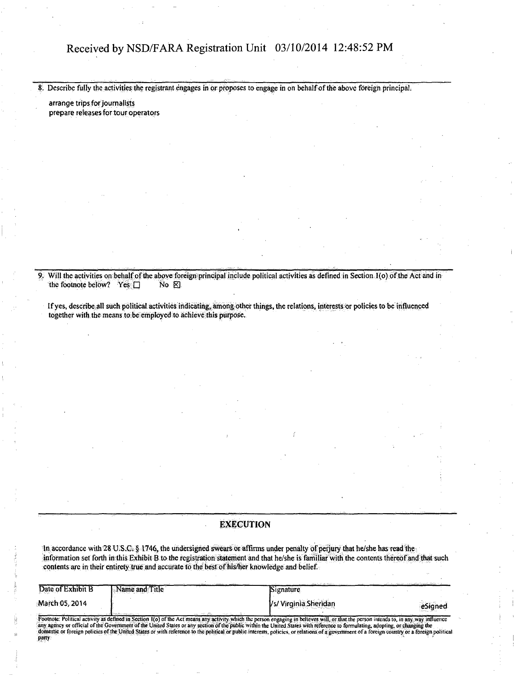8. Describe fully the activities the registrant engages in or proposes to engage in on behalf of the above foreign principal.

arrange trips for journalists prepare releases for tour operators

9. Will the activities on behalf of the above foreign principal include political activities as defined in Section 1(o) of the Act and in the footnote below? Yes  $\Box$  No  $\boxtimes$ the footnote below? Yes  $\square$ 

If yes, describe all such political activities indicating, among other things, the relations, interests or policies to be influenced together with the means to be employed to achieve this purpose.

#### EXECUTION

ln accordance with 28 U.S.C. § 1746, the undersigned swears or affirms under penalty of perjury that he/she has read the information set forth in this Exhibit B to the registration statement and that he/she is familiar with the contents thereof and that such contents are in their entirety true and accurate to the best of his/her knowledge and belief.

| Date of Exhibit B | Name and Title                               | <b>Signature</b>      | the complete the complete state and the complete of DMS to the complete |
|-------------------|----------------------------------------------|-----------------------|-------------------------------------------------------------------------|
| March 05, 2014    |                                              | /s/ Virginia Sheridan | eSigned                                                                 |
|                   | die en marca en la compa<br>a series diffuse |                       |                                                                         |

Footnote: Political activity as defined in Section 1(o) of the Act means any activity which the person engaging in believes will, or that the person intends to, in any way influence<br>any agency or official of the Government domestic or foreign policies of the United States or with reference to the political or public interests, policies, or relations of a government of a foreign country or a foreign political<br>party party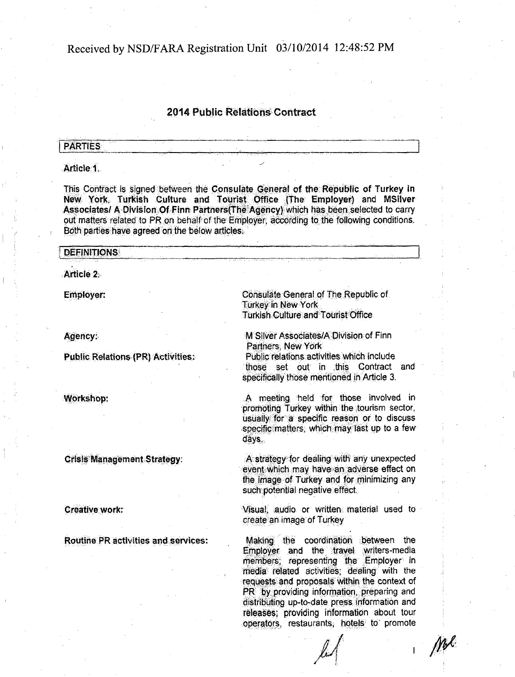# 2014 Public Relations Contract

## **PARTIES**

### Article 1.

This Contract is signed between the Consulate General of the Republic of Turkey in New York, Turkish Culture and Tourist Office (The Employer) and MSilver Associates/ A Division Of Finn Partners(The Agency) which has been selected to carry out matters related to PR on behalf of the Employer, according to the following conditions. Both parties have agreed on the below articles.

#### **DEFINITIONS**

Article 2.

Employer:

Agency:.

Public Relations (PR) Activities:

Workshop:

Crisis Management Strategy:

Creative work:

Routine PR activities and services:

Consulate General of The Republic of Turkey in New York Turkish Culture and Tourist Office

M Silver Associates/A Division of Finn Partners, New York

Public relations activities which include those set out in this Contract and specifically those mentioned in Article 3.

A meeting held for those involved in promoting Turkey within the tourism sector, usually for a specific reason or to discuss specific matters, which may last up to a few days.

A strategy for dealing with any unexpected event which may have an adverse effect on the image of Turkey and for minimizing any such potential negative effect.

Visual, audio or written material used to create an image of Turkey

Making the coordination between the Employer and the travel writers-media members; representing the Employer in media related activities; dealing with the requests and proposals within the context of PR by providing information, preparing and distributing up-to-date press information and releases; providing information about tour operators, restaurants, hotels to promote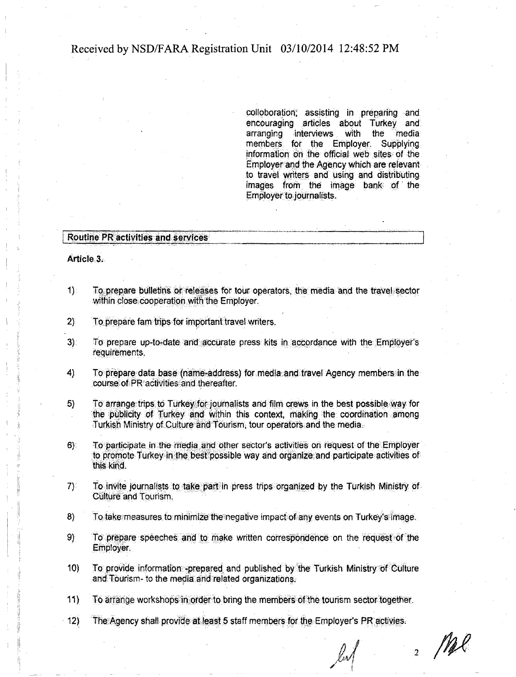colloboration; assisting in preparing and encouraging articles about Turkey and arranging interviews with the media members for the Employer; Supplying information on the official web sites of the Employer arid the Agency which are relevant to travel writers and using and distributing images from the image bank of the Employer to journalists.

#### Routine PR activities and services

Article<sub>3</sub>.

- 1) To prepare bulletins or releases for tour operators, the media and the travel sector within close cooperation with the Employer.
- 2) To prepare fam trips for important travel writers.
- 3): To prepare up-to-date and accurate press kits in accordance with the Employer's requirements.
- 4) To prepare data base (name-address) for media and travel Agency members in the course of PR activities and thereafter.
- 5} To arrange trips to Turkey for journalists and film crews in the best possible way for the publicity of Turkey and within this context, making the coordination among Turkish Ministry of Culture and Tourism, tour operators and the media.
- 6) To participate in the media and other sector's activities on request of the Employer to promote Turkey in the best possible way and organize and participate activities of this kind.
- 7) To invite journalists to take part in press trips organized by the Turkish Ministry of Culture and Tourism.
- 8) To take measures to minimize the negative impact of any events on Turkey's image.
- 9) To prepare speeches and to make written correspondence on the request of the Employer.
- 10) To provide information -prepared and published by the Turkish Ministry of Culture and Tourism- to the media and related organizations;
- 11) To arrange workshops in order to bring the members of the tourism sector together.
- 12) The Agency shall provide at least 5 staff members for the Employer's PR activies.

 $\frac{1}{2}$  Mpl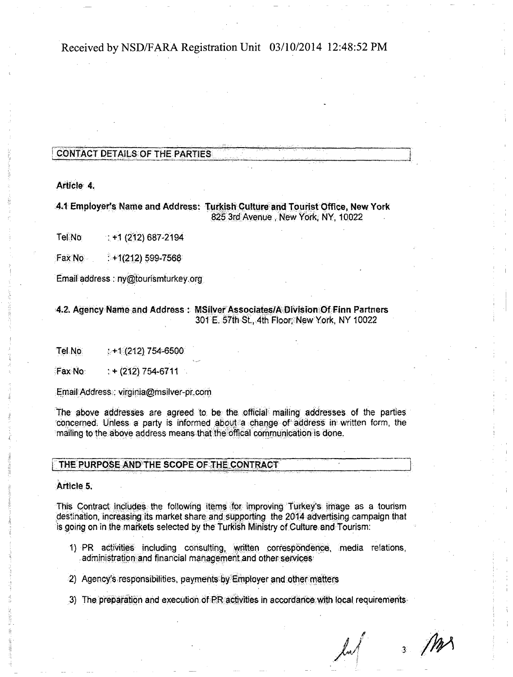# CONTACT DETAILS OF THE PARTIES

Article 4.

## AA Employees Hame and Address: Turkish Culture and Tourist Office, New York 825 3rd Avenue , New York, NY, 10022

Tel $\overline{N}$ o : +1 (212) 687-2194

Fax No $\cdot$  :  $+1(212)$  599-7568

Email address: ny@tourismturkey.org

### 4.2. Agency Name and Address: MSilver Associates/A Division Of Finn Partners 301 E. 57th St., 4th Floor; New York, NY 10022

Tel No;  $: +1(212)754-6500$ 

 $FaxN<sub>0</sub>$  : + (212) 754-6711

Email Address: virginia@msilver-pr.com

The above addresses are agreed to be the official mailing addresses of the parties concerned. Unless a party is informed about a change of address in written form, the mailing to the above address means that the offical communication is done.

### THE PURPOSE AND THE SCOPE OF THE CONTRACT

Article 5.

This Contract includes the following items for improving Turkey's image as a tourism destination, increasing its market share and supporting the 2014 advertising campaign that is going on in the markets selected by the Turkish Ministry of Culture and Tourism:

- 1) PR activities including consulting, written correspondence, media relations, administration and financial management and other services
- 2) Agency's responsibilities, payments by Employer and other matters
- 3) The preparation and execution of PR activities in accordance with local requirements

J[/\*/\ /

 $3$  M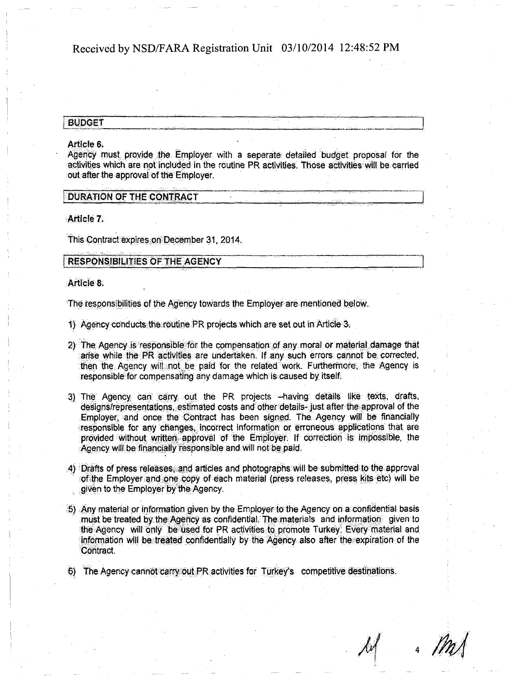#### **BUDGET**

#### Article 6.

Agency must provide the Employer with a seperate detailed budget proposal for the activities which are not included in the routine PR activities. Those activities will be carried out after the approval of the Employer.

#### DURATION OF THE CONTRACT

Article 7.

This Contract expires on December 31, 2014.

#### RESPONSIBILITIES OF THE AGENCY

Article 8.

The responsibilities of the Agency towards the Employer are mentioned below.

- 1) Agency conducts the routine PR projects which are set out in Article 3.
- 2) The Agency is responsible for the compensation of any moral or material damage that arise while the PR activities are undertaken. If any such errors cannot be corrected, then the Agency will not be paid for the related work. Furthermore, the Agency is responsible for compensating any damage which is caused by itself.
- 3) The Agency can carry out the PR projects -having details like texts, drafts, designs/representations, estimated costs and other details- just after the approval of the Employer, and once the Contract has been signed. The Agency will be financially responsible for any changes, incorrect information or erroneous applications that are provided without written approval of the Employer. If correction is impossible, the Agency will be financially responsible and will not be paid.
- 4) Drafts of press releases, and articles and photographs will be submitted to the approval of the Employer and one copy of each material (press releases, press kits etc) will be given to the Employer by the Agency.
- £ | Any material or information given by the Employer to the Agency on a confidential basis must be treated by the Agency as confidential. The materials and information given to the Agency will only be used for PR activities to promote Turkey. Every material and information will be treated confidentially by the Agency also after the expiration of the Contract.
- 6) The Agency cannot carry out PR activities for Turkey's competitive destinations.

4 M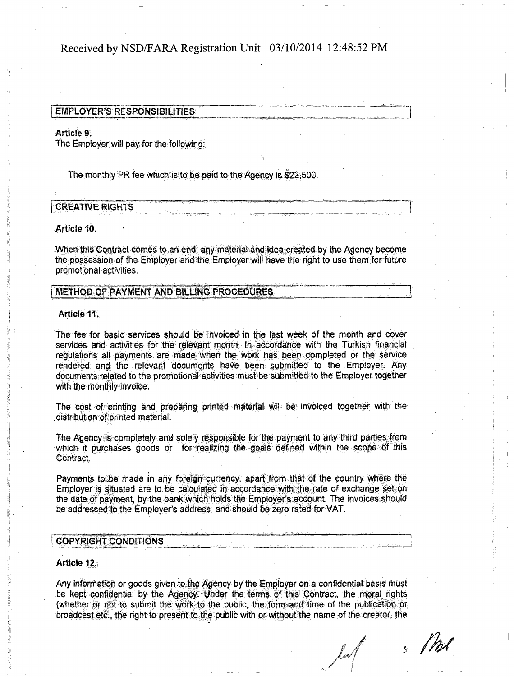#### EMPLOYER'S RESPONSIBILITIES

#### Article 9.

The Employer will pay for the following:

The monthly PR fee which is to be paid to the Agency is \$22,500.

## **CREATIVE RIGHTS**

#### Article 10.

When this Contract comes to an end, any material and idea created by the Agency become the possession of the Employer and the Employer will have the right to use them for future promotional activities.

• , • . .".:-—•^- . "•;•.-"•. ^,"-;;.,.,"i 'J

# METHOD OF PAYMENT AND BILLING PROCEDURES

#### Article 11.

The fee for basic services should be invoiced in the last week of the month and cover services and activities for the relevant month. In accordance with the Turkish financial regulations all payments are made when the work has been completed or the service rendered and the relevant documents have been submitted to the Employer: Any documents related to the promotional activities must be submitted to the Employer together with the monthly invoice.

The cost of printing and preparing printed material will be invoiced together with the distribution of printed material.

The Agency is completely and solely responsible for the payment to any third parties from which it purchases goods or for realizing the goals defined within the scope of this Contract,

Payments to be made in any foreign currency, apart from that of the country where the Employer is situated are to be calculated in accordance with the rate of exchange set on the date of payment, by the bank which holds the Employer's account. The invoices should be addressed to the Employer's address and should be zero rated for VAT.

#### ! COPYRIGHT CONDITIONS

#### Article 12.

Any information or goods given to the Agency by the Employer on a confidential basis must be kept confidential by the Agency: Under the terms of this Contract, the moral rights (whether or not to submit the work to the public, the form and time of the publication or broadcast etc., the right to present to the public with or without the name of the creator, tie

 $\ell$ al $\ell$  $\mathcal{I}$ 

/

s Phol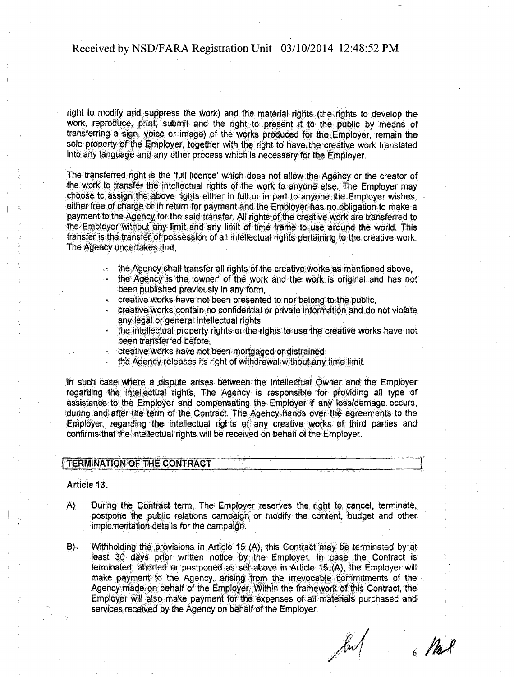right to modify and suppress the work) and the material rights (the rights to develop the work, reproduce, print, submit and the right.to present it to the public by means of transferring a sign, voice or image) of the works produced for the Employer, remain the sole property of the Employer, together with the right to have the creative work translated into any language and any other process which is necessary for the Employer.

The transferred right is the 'full licence' which does not allow the Agency or the creator of the work to transfer the intellectual rights of the work to anyone else. The Employer may choose to assign the above rights either in full or in part to anyone the Employer wishes, either free of charge or in return for payment and the Employer has no obligation to make a payment to the Agency for the said transfer. All rights of the creative work are transferred to the Employer without any limit and any limit of time frame to use around the world. This transfer is the transfer of possession of all intellectual rights pertaining to the creative work. The Agency undertakes that,

- the Agency shall transfer all rights of the creative works as mentioned above,
- the Agency is the 'owner' of the work and the work is original and has not been published previously in any form,
- creative works have not been presented to nor belong to the public,
- creative works contain no confidential or private information and do not violate any legal or general intellectual rights.
- the intellectual property rights or the rights to use the creative works have not been transferred before,
- creative works have not been mortgaged or distrained
- the Agency releases its right of withdrawal without any time limit.

In such case where a dispute arises between the Intellectual Owner and the Employer regarding the intellectual rights, The Agency is responsible for providing ail type of assistance to the Employer and compensating the Employer if any loss/damage occurs, during and after the term of the Contract. The Agency hands over the agreements to the Employer, regarding the intellectual rights of any creative works of third parties and confirms that the intellectual rights will be received on behalf of the Employer.

# TERMINATION OF THE CONTRACT

Article 1&.

- A) During the Contract term, The Employer reserves the right to cancel, terminate, postpone the public relations campaign or modify the content, budget and other implementation details for the campaign.
- 8) Withholding the provisions in Article 15 (A), this Contract may be terminated by at least 30 days prior written notice by the Employer. In case the Contract is terminated, aborted or postponed as set above in Article 15 (A), the Employer will make payment to the Agency, arising from the irrevocable commitments of the Agency made on behalf of the Employer. Within the framework of this Contract, the Employer will also make payment for the expenses of all materials purchased and services received by the Agency on behalf of the Employer.

 $6$  /h/